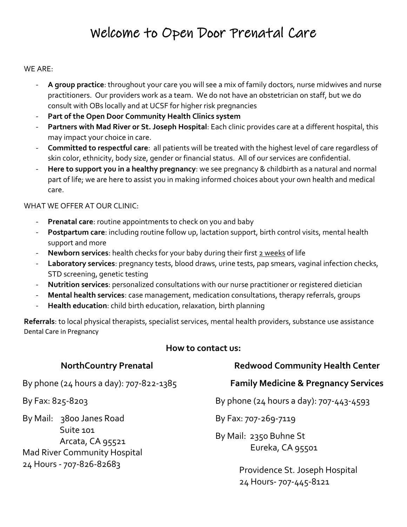## Welcome to Open Door Prenatal Care

#### WE ARE:

- **A group practice**: throughout your care you will see a mix of family doctors, nurse midwives and nurse practitioners. Our providers work as a team. We do not have an obstetrician on staff, but we do consult with OBs locally and at UCSF for higher risk pregnancies
- **Part of the Open Door Community Health Clinics system**
- **Partners with Mad River or St. Joseph Hospital**: Each clinic provides care at a different hospital, this may impact your choice in care.
- **Committed to respectful care**: all patients will be treated with the highest level of care regardless of skin color, ethnicity, body size, gender or financial status. All of our services are confidential.
- **Here to support you in a healthy pregnancy**: we see pregnancy & childbirth as a natural and normal part of life; we are here to assist you in making informed choices about your own health and medical care.

#### WHAT WE OFFER AT OUR CLINIC:

- **Prenatal care**: routine appointments to check on you and baby
- Postpartum care: including routine follow up, lactation support, birth control visits, mental health support and more
- **Newborn services**: health checks for your baby during their first 2 weeks of life
- Laboratory services: pregnancy tests, blood draws, urine tests, pap smears, vaginal infection checks, STD screening, genetic testing
- **Nutrition services**: personalized consultations with our nurse practitioner or registered dietician
- **Mental health services**: case management, medication consultations, therapy referrals, groups
- **Health education**: child birth education, relaxation, birth planning

**Referrals**: to local physical therapists, specialist services, mental health providers, substance use assistance Dental Care in Pregnancy

### **How to contact us:**

| <b>NorthCountry Prenatal</b>                                                                                                 | <b>Redwood Community Health Center</b>                   |
|------------------------------------------------------------------------------------------------------------------------------|----------------------------------------------------------|
| By phone (24 hours a day): 707-822-1385                                                                                      | <b>Family Medicine &amp; Pregnancy Services</b>          |
| By Fax: 825-8203                                                                                                             | By phone (24 hours a day): 707-443-4593                  |
| By Mail: 3800 Janes Road<br>Suite 101<br>Arcata, CA 95521<br><b>Mad River Community Hospital</b><br>24 Hours - 707-826-82683 | By Fax: 707-269-7119                                     |
|                                                                                                                              | By Mail: 2350 Buhne St<br>Eureka, CA 95501               |
|                                                                                                                              | Providence St. Joseph Hospital<br>24 Hours- 707-445-8121 |